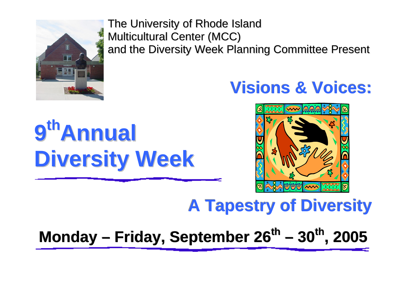

The University of Rhode Island Multicultural Center (MCC) and the Diversity Week Planning Committee Present

# **Visions & Voices:**

# **9thAnnual Diversity Week**



# **A Tapestry of Diversity**

**Monday – Friday, September 26<sup>th</sup> – 30<sup>th</sup>, 2005**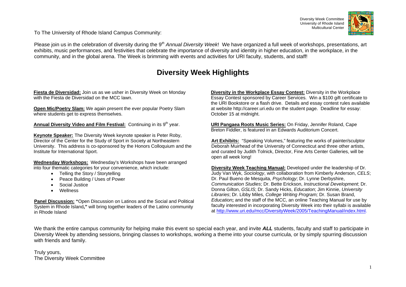Diversity Week Committee University of Rhode Island Multicultural Center



To The University of Rhode Island Campus Community:

Please join us in the celebration of diversity during the 9*th Annual Diversity Week*! We have organized a full week of workshops, presentations, art exhibits, music performances, and festivities that celebrate the importance of diversity and identity in higher education, in the workplace, in the community, and in the global arena. The Week is brimming with events and activities for URI faculty, students, and staff!

### **Diversity Week Highlights**

**Fiesta de Diversidad:** Join us as we usher in Diversity Week on Monday with the Fiesta de Diversidad on the MCC lawn.

**Open Mic/Poetry Slam:** We again present the ever popular Poetry Slam where students get to express themselves.

Annual Diversity Video and Film Festival: Continuing in its 9<sup>th</sup> year.

**Keynote Speaker:** The Diversity Week keynote speaker is Peter Roby, Director of the Center for the Study of Sport in Society at Northeastern University. This address is co-sponsored by the Honors Colloquium and the Institute for International Sport.

**Wednesday Workshops:** Wednesday's Workshops have been arranged into four thematic categories for your convenience, which include:

- Telling the Story / Storytelling
- Peace Building / Uses of Power
- Social Justice
- Wellness

**Panel Discussion: "**Open Discussion on Latinos and the Social and Political System in Rhode Island**,"** will bring together leaders of the Latino community in Rhode Island

**Diversity in the Workplace Essay Contest:** Diversity in the Workplace Essay Contest sponsored by Career Services. Win a \$100 gift certificate to the URI Bookstore or a flash drive. Details and essay contest rules available at website http://career.uri.edu on the student page. Deadline for essay: October 15 at midnight.

**URI Pangaea Roots Music Series:** On Friday, Jennifer Roland, Cape Breton Fiddler, is featured in an Edwards Auditorium Concert.

**Art Exhibits:** "Speaking Volumes," featuring the works of painter/sculptor Deborah Muirhead of the University of Connecticut and three other artists, and curated by Judith Tolnick, Director, Fine Arts Center Galleries, will be open all week long!

**Diversity Week Teaching Manual:** Developed under the leadership of Dr. Judy Van Wyk, *Sociology*, with collaboration from Kimberly Anderson, *CELS*; Dr. Paul Bueno de Mesquita, *Psychology*; Dr. Lynne Derbyshire, *Communication Studies*; Dr. Bette Erickson, *Instructional Development*; Dr. Donna Gilton, *GSLIS*; Dr. Sandy Hicks, *Education*; Jim Kinnie, *University Libraries*; Dr. Libby Miles, *College Writing Program;* Dr. Susan Brand, *Education***;** and the staff of the MCC, an online Teaching Manual for use by faculty interested in incorporating Diversity Week into their syllabi is available at http://www.uri.edu/mcc/DiversityWeek/2005/TeachingManual/index.html.

We thank the entire campus community for helping make this event so special each year, and invite **ALL** students, faculty and staff to participate in Diversity Week by attending sessions, bringing classes to workshops, working a theme into your course curricula, or by simply spurring discussion with friends and family.

Truly yours, The Diversity Week Committee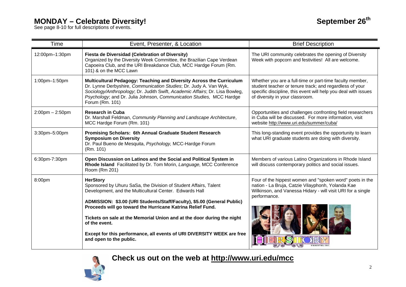# **MONDAY – Celebrate Diversity!**<br>See page 8-10 for full descriptions of events.

| September 26 <sup>th</sup> |  |
|----------------------------|--|
|----------------------------|--|

| Time                  | Event, Presenter, & Location                                                                                                                                                                                                                                                                                                                                                                                                                                                            | <b>Brief Description</b>                                                                                                                                                                                                 |
|-----------------------|-----------------------------------------------------------------------------------------------------------------------------------------------------------------------------------------------------------------------------------------------------------------------------------------------------------------------------------------------------------------------------------------------------------------------------------------------------------------------------------------|--------------------------------------------------------------------------------------------------------------------------------------------------------------------------------------------------------------------------|
| 12:00pm-1:30pm        | Fiesta de Diversidad (Celebration of Diversity)<br>Organized by the Diversity Week Committee, the Brazilian Cape Verdean<br>Capoeira Club, and the URI Breakdance Club, MCC Hardge Forum (Rm.<br>101) & on the MCC Lawn                                                                                                                                                                                                                                                                 | The URI community celebrates the opening of Diversity<br>Week with popcorn and festivities! All are welcome.                                                                                                             |
| 1:00pm-1:50pm         | Multicultural Pedagogy: Teaching and Diversity Across the Curriculum<br>Dr. Lynne Derbyshire, Communication Studies; Dr. Judy A. Van Wyk,<br>Sociology/Anthropology; Dr. Judith Swift, Academic Affairs; Dr. Lisa Bowleg,<br>Psychology; and Dr. Julia Johnson, Communication Studies, MCC Hardge<br>Forum (Rm. 101)                                                                                                                                                                    | Whether you are a full-time or part-time faculty member,<br>student teacher or tenure track; and regardless of your<br>specific discipline, this event will help you deal with issues<br>of diversity in your classroom. |
| $2:00$ pm $- 2:50$ pm | <b>Research in Cuba</b><br>Dr. Marshall Feldman, Community Planning and Landscape Architecture,<br>MCC Hardge Forum (Rm. 101)                                                                                                                                                                                                                                                                                                                                                           | Opportunities and challenges confronting field researchers<br>in Cuba will be discussed. For more information, visit<br>website http://www.uri.edu/summer/cuba/                                                          |
| 3:30pm-5:00pm         | Promising Scholars: 6th Annual Graduate Student Research<br><b>Symposium on Diversity</b><br>Dr. Paul Bueno de Mesquita, Psychology, MCC-Hardge Forum<br>(Rm. 101)                                                                                                                                                                                                                                                                                                                      | This long-standing event provides the opportunity to learn<br>what URI graduate students are doing with diversity.                                                                                                       |
| 6:30pm-7:30pm         | Open Discussion on Latinos and the Social and Political System in<br>Rhode Island Facilitated by Dr. Tom Morin, Language, MCC Conference<br>Room (Rm 201)                                                                                                                                                                                                                                                                                                                               | Members of various Latino Organizations in Rhode Island<br>will discuss contemporary politics and social issues.                                                                                                         |
| 8:00pm                | <b>HerStory</b><br>Sponsored by Uhuru SaSa, the Division of Student Affairs, Talent<br>Development, and the Multicultural Center. Edwards Hall<br>ADMISSION: \$3.00 (URI Students/Staff/Faculty), \$5.00 (General Public)<br>Proceeds will go toward the Hurricane Katrina Relief Fund.<br>Tickets on sale at the Memorial Union and at the door during the night<br>of the event.<br>Except for this performance, all events of URI DIVERSITY WEEK are free<br>and open to the public. | Four of the hippest women and "spoken word" poets in the<br>nation - La Bruja, Catzie Vilayphonh, Yolanda Kae<br>Wilkinson, and Vanessa Hidary - will visit URI for a single<br>performance.                             |

**Check us out on the web at http://www.uri.edu/mcc**

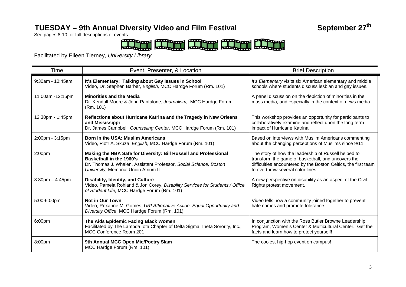## TUESDAY – 9th Annual Diversity Video and Film Festival **September 27<sup>th</sup>**

See pages 8-10 for full descriptions of events.



Facilitated by Eileen Tierney, *University Library* 

| <b>Time</b>          | Event, Presenter, & Location                                                                                                                                                                                     | <b>Brief Description</b>                                                                                                                                                                                         |
|----------------------|------------------------------------------------------------------------------------------------------------------------------------------------------------------------------------------------------------------|------------------------------------------------------------------------------------------------------------------------------------------------------------------------------------------------------------------|
| 9:30am - 10:45am     | It's Elementary: Talking about Gay Issues in School<br>Video, Dr. Stephen Barber, English, MCC Hardge Forum (Rm. 101)                                                                                            | It's Elementary visits six American elementary and middle<br>schools where students discuss lesbian and gay issues.                                                                                              |
| 11:00am -12:15pm     | <b>Minorities and the Media</b><br>Dr. Kendall Moore & John Pantalone, Journalism, MCC Hardge Forum<br>(Rm. 101)                                                                                                 | A panel discussion on the depiction of minorities in the<br>mass media, and especially in the context of news media.                                                                                             |
| 12:30pm - 1:45pm     | Reflections about Hurricane Katrina and the Tragedy in New Orleans<br>and Mississippi<br>Dr. James Campbell, Counseling Center, MCC Hardge Forum (Rm. 101)                                                       | This workshop provides an opportunity for participants to<br>collaboratively examine and reflect upon the long term<br>impact of Hurricane Katrina                                                               |
| 2:00pm - 3:15pm      | <b>Born in the USA: Muslim Americans</b><br>Video, Piotr A. Skuza, English, MCC Hardge Forum (Rm. 101)                                                                                                           | Based on interviews with Muslim Americans commenting<br>about the changing perceptions of Muslims since 9/11.                                                                                                    |
| 2:00pm               | Making the NBA Safe for Diversity: Bill Russell and Professional<br><b>Basketball in the 1960's</b><br>Dr. Thomas J. Whalen, Assistant Professor, Social Science, Boston<br>University, Memorial Union Atrium II | The story of how the leadership of Russell helped to<br>transform the game of basketball, and uncovers the<br>difficulties encountered by the Boston Celtics, the first team<br>to overthrow several color lines |
| $3:30$ pm $-4:45$ pm | <b>Disability, Identity, and Culture</b><br>Video, Pamela Rohland & Jon Corey, Disability Services for Students / Office<br>of Student Life, MCC Hardge Forum (Rm. 101)                                          | A new perspective on disability as an aspect of the Civil<br>Rights protest movement.                                                                                                                            |
| 5:00-6:00pm          | Not in Our Town<br>Video, Roxanne M. Gomes, URI Affirmative Action, Equal Opportunity and<br>Diversity Office, MCC Hardge Forum (Rm. 101)                                                                        | Video tells how a community joined together to prevent<br>hate crimes and promote tolerance.                                                                                                                     |
| 6:00pm               | The Aids Epidemic Facing Black Women<br>Facilitated by The Lambda lota Chapter of Delta Sigma Theta Sorority, Inc.,<br>MCC Conference Room 201                                                                   | In conjunction with the Ross Butler Browne Leadership<br>Program, Women's Center & Multicultural Center. Get the<br>facts and learn how to protect yourself!                                                     |
| 8:00pm               | 9th Annual MCC Open Mic/Poetry Slam<br>MCC Hardge Forum (Rm. 101)                                                                                                                                                | The coolest hip-hop event on campus!                                                                                                                                                                             |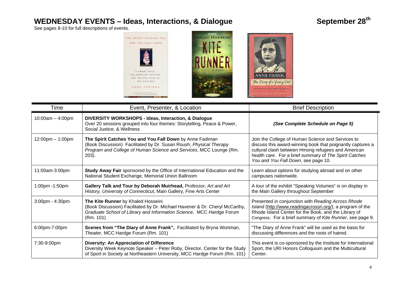# WEDNESDAY EVENTS - Ideas, Interactions, & Dialogue September 28<sup>th</sup>

See pages 8-10 for full descriptions of events.



| Time                               | Event, Presenter, & Location                                                                                                                                                                                     | <b>Brief Description</b>                                                                                                                                                                                                                                               |
|------------------------------------|------------------------------------------------------------------------------------------------------------------------------------------------------------------------------------------------------------------|------------------------------------------------------------------------------------------------------------------------------------------------------------------------------------------------------------------------------------------------------------------------|
| $10:00am - 4:00pm$                 | DIVERSITY WORKSHOPS - Ideas, Interaction, & Dialogue<br>Over 20 sessions grouped into four themes: Storytelling, Peace & Power,<br>Social Justice, & Wellness                                                    | (See Complete Schedule on Page 5)                                                                                                                                                                                                                                      |
| $12:00 \text{pm} - 1:00 \text{pm}$ | The Spirit Catches You and You Fall Down by Anne Fadiman<br>(Book Discussion) Facilitated by Dr. Susan Roush, Physical Therapy<br>Program and College of Human Science and Services, MCC Lounge (Rm.<br>$203$ ). | Join the College of Human Science and Services to<br>discuss this award-winning book that poignantly captures a<br>cultural clash between Hmong refugees and American<br>health care. For a brief summary of The Spirit Catches<br>You and You Fall Down, see page 10. |
| 11:00am-3:00pm                     | Study Away Fair sponsored by the Office of International Education and the<br>National Student Exchange, Memorial Union Ballroom                                                                                 | Learn about options for studying abroad and on other<br>campuses nationwide.                                                                                                                                                                                           |
| 1:00pm -1:50pm                     | Gallery Talk and Tour by Deborah Muirhead, Professor, Art and Art<br>History, University of Connecticut, Main Gallery, Fine Arts Center                                                                          | A tour of the exhibit "Speaking Volumes" is on display in<br>the Main Gallery throughout September                                                                                                                                                                     |
| 3:00pm - 4:30pm                    | The Kite Runner by Khaled Hosseini<br>(Book Discussion) Facilitated by Dr. Michael Havener & Dr. Cheryl McCarthy,<br>Graduate School of Library and Information Science, MCC Hardge Forum<br>(Rm. 101)           | Presented in conjunction with Reading Across Rhode<br>Island (http://www.readingacrossri.org/), a program of the<br>Rhode Island Center for the Book, and the Library of<br>Congress. For a brief summary of Kite Runner, see page 9.                                  |
| 6:00pm-7:00pm                      | Scenes from "The Diary of Anne Frank", Facilitated by Bryna Wortman,<br>Theater, MCC Hardge Forum (Rm. 101)                                                                                                      | "The Diary of Anne Frank" will be used as the basis for<br>discussing differences and the roots of hatred.                                                                                                                                                             |
| 7:30-9:00pm                        | <b>Diversity: An Appreciation of Difference</b><br>Diversity Week Keynote Speaker - Peter Roby, Director, Center for the Study<br>of Sport in Society at Northeastern University, MCC Hardge Forum (Rm. 101)     | This event is co-sponsored by the Institute for International<br>Sport, the URI Honors Colloquium and the Multicultural<br>Center.                                                                                                                                     |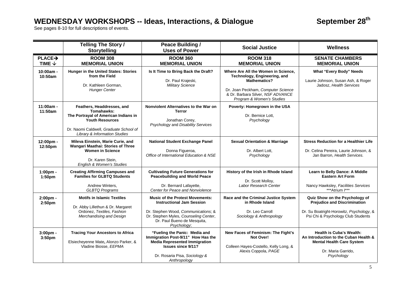# WEDNESDAY WORKSHOPS -- Ideas, Interactions, & Dialogue September 28<sup>th</sup>

See pages 8-10 for full descriptions of events.

|                                         | <b>Telling The Story /</b><br><b>Storytelling</b>                                                                                                                                                | Peace Building /<br><b>Uses of Power</b>                                                                                                                                                                 | <b>Social Justice</b>                                                                                                                                                                              | <b>Wellness</b>                                                                                                                                         |
|-----------------------------------------|--------------------------------------------------------------------------------------------------------------------------------------------------------------------------------------------------|----------------------------------------------------------------------------------------------------------------------------------------------------------------------------------------------------------|----------------------------------------------------------------------------------------------------------------------------------------------------------------------------------------------------|---------------------------------------------------------------------------------------------------------------------------------------------------------|
| PLACE <sub>2</sub><br>TIME $\downarrow$ | <b>ROOM 308</b><br><b>MEMORIAL UNION</b>                                                                                                                                                         | <b>ROOM 360</b><br><b>MEMORIAL UNION</b>                                                                                                                                                                 | <b>ROOM 318</b><br><b>MEMORIAL UNION</b>                                                                                                                                                           | <b>SENATE CHAMBERS</b><br><b>MEMORIAL UNION</b>                                                                                                         |
| 10:00am -<br>10:50am                    | Hunger in the United States: Stories<br>from the Field<br>Dr. Kathleen Gorman,<br><b>Hunger Center</b>                                                                                           | Is It Time to Bring Back the Draft?<br>Dr. Paul Krajeski,<br><b>Military Science</b>                                                                                                                     | Where Are All the Women in Science,<br>Technology, Engineering, and<br><b>Mathematics?</b><br>Dr. Joan Peckham, Computer Science<br>& Dr. Barbara Silver, NSF ADVANCE<br>Program & Women's Studies | <b>What "Every Body" Needs</b><br>Laurie Johnson, Susan Ash, & Roger<br>Jadosz, Health Services                                                         |
| 11:00am -<br>11:50am                    | Feathers, Headdresses, and<br>Tomahawks:<br>The Portrayal of American Indians in<br><b>Youth Resources</b><br>Dr. Naomi Caldwell, Graduate School of<br><b>Library &amp; Information Studies</b> | Nonviolent Alternatives to the War on<br><b>Terror</b><br>Jonathan Corey,<br>Psychology and Disability Services                                                                                          | Poverty: Homegrown in the USA<br>Dr. Bernice Lott.<br>Psychology                                                                                                                                   |                                                                                                                                                         |
| 12:00pm -<br>12:50pm                    | Mileva Einstein, Marie Curie, and<br>Wangari Maathai: Stories of Three<br><b>Women in Science</b><br>Dr. Karen Stein,<br>English & Women's Studies                                               | <b>National Student Exchange Panel</b><br>Donna Figueroa,<br>Office of International Education & NSE                                                                                                     | <b>Sexual Orientation &amp; Marriage</b><br>Dr. Albert Lott,<br>Psychology                                                                                                                         | <b>Stress Reduction for a Healthier Life</b><br>Dr. Celina Pereira, Laurie Johnson, &<br>Jan Barron, Health Services.                                   |
| 1:00pm -<br>1:50 <sub>pm</sub>          | <b>Creating Affirming Campuses and</b><br><b>Families for GLBTQ Students</b><br>Andrew Winters,<br><b>GLBTQ Programs</b>                                                                         | <b>Cultivating Future Generations for</b><br><b>Peacebuilding and World Peace</b><br>Dr. Bernard Lafayette,<br>Center for Peace and Nonviolence                                                          | History of the Irish in Rhode Island<br>Dr. Scott Mollov.<br>Labor Research Center                                                                                                                 | Learn to Belly Dance: A Middle<br><b>Eastern Art Form</b><br>Nancy Hawksley, Facilities Services<br>***Atrium I***                                      |
| 2:00pm -<br>2:50pm                      | <b>Motifs in Islamic Textiles</b><br>Dr. Abby Lillethun & Dr. Margaret<br>Ordonez, Textiles, Fashion<br>Merchandising and Design                                                                 | <b>Music of the Protest Movements:</b><br><b>Instructional Jam Session</b><br>Dr. Stephen Wood, Communications; &<br>Dr. Stephen Myles, Counseling Center,<br>Dr. Paul Bueno de Mesquita,<br>Psychology; | Race and the Criminal Justice System<br>in Rhode Island<br>Dr. Leo Carroll<br>Sociology & Anthropology                                                                                             | Quiz Show on the Psychology of<br><b>Prejudice and Discrimination</b><br>Dr. Su Boatright-Horowitz, Psychology, &<br>Psi Chi & Psychology Club Students |
| $3:00pm -$<br>3:50pm                    | <b>Tracing Your Ancestors to Africa</b><br>Elsiecheyenne Mate, Alonzo Parker, &<br>Vladine Biosse, EEPMA                                                                                         | "Fueling the Panic: Media and<br>Immigration Post-9/11" How Has the<br><b>Media Represented Immigration</b><br><b>Issues since 9/11?</b><br>Dr. Rosaria Pisa, Sociology &<br>Anthropology                | New Faces of Feminism: The Fight's<br>Not Over!<br>Colleen Hayes-Costello, Kelly Long, &<br>Alexis Coppola, PAGE                                                                                   | <b>Health is Cuba's Wealth:</b><br>An Introduction to the Cuban Health &<br><b>Mental Health Care System</b><br>Dr. Maria Garrido,<br>Psychology        |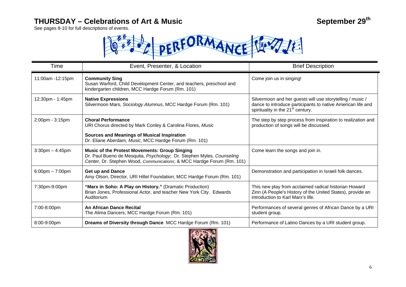### THURSDAY – Celebrations of Art & Music **September 29<sup>th</sup>** September 29<sup>th</sup>

See pages 8-10 for full descriptions of events.



| Time                              | Event, Presenter, & Location                                                                                                                                                                            | <b>Brief Description</b>                                                                                                                                                  |
|-----------------------------------|---------------------------------------------------------------------------------------------------------------------------------------------------------------------------------------------------------|---------------------------------------------------------------------------------------------------------------------------------------------------------------------------|
| 11:00am -12:15pm                  | <b>Community Sing</b><br>Susan Warford, Child Development Center, and teachers, preschool and<br>kindergarten children, MCC Hardge Forum (Rm. 101)                                                      | Come join us in singing!                                                                                                                                                  |
| 12:30pm - 1:45pm                  | <b>Native Expressions</b><br>Silvermoon Mars, Sociology Alumnus, MCC Hardge Forum (Rm. 101)                                                                                                             | Silvermoon and her guests will use storytelling / music /<br>dance to introduce participants to native American life and<br>spirituality in the 21 <sup>st</sup> century. |
| 2:00pm - 3:15pm                   | <b>Choral Performance</b><br>URI Chorus directed by Mark Conley & Carolina Flores, Music                                                                                                                | The step by step process from inspiration to realization and<br>production of songs will be discussed.                                                                    |
|                                   | <b>Sources and Meanings of Musical Inspiration</b><br>Dr. Eliane Aberdam, Music, MCC Hardge Forum (Rm. 101)                                                                                             |                                                                                                                                                                           |
| $3:30$ pm $-4:45$ pm              | <b>Music of the Protest Movements: Group Singing</b><br>Dr. Paul Bueno de Mesquita, Psychology, Dr. Stephen Myles, Counseling<br>Center, Dr. Stephen Wood, Communications; & MCC Hardge Forum (Rm. 101) | Come learn the songs and join in.                                                                                                                                         |
| $6:00 \text{pm} - 7:00 \text{pm}$ | <b>Get up and Dance</b><br>Amy Olson, Director, URI Hillel Foundation; MCC Hardge Forum (Rm. 101)                                                                                                       | Demonstration and participation in Israeli folk dances.                                                                                                                   |
| 7:30pm-9:00pm                     | "Marx in Soho: A Play on History." (Dramatic Production)<br>Brian Jones, Professional Actor, and teacher New York City. Edwards<br>Auditorium                                                           | This new play from acclaimed radical historian Howard<br>Zinn (A People's History of the United States), provide an<br>introduction to Karl Marx's life.                  |
| 7:00-8:00pm                       | An African Dance Recital<br>The Alima Dancers, MCC Hardge Forum (Rm. 101)                                                                                                                               | Performances of several genres of African Dance by a URI<br>student group.                                                                                                |
| 8:00-9:00pm                       | Dreams of Diversity through Dance MCC Hardge Forum (Rm. 101)                                                                                                                                            | Performance of Latino Dances by a URI student group.                                                                                                                      |

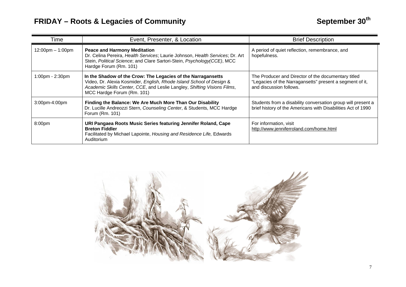| Time                               | Event, Presenter, & Location                                                                                                                                                                                                                   | <b>Brief Description</b>                                                                                                                   |
|------------------------------------|------------------------------------------------------------------------------------------------------------------------------------------------------------------------------------------------------------------------------------------------|--------------------------------------------------------------------------------------------------------------------------------------------|
| $12:00 \text{pm} - 1:00 \text{pm}$ | <b>Peace and Harmony Meditation</b><br>Dr. Celina Pereira, Health Services; Laurie Johnson, Health Services; Dr. Art<br>Stein, Political Science; and Clare Sartori-Stein, Psychology (CCE), MCC<br>Hardge Forum (Rm. 101)                     | A period of quiet reflection, remembrance, and<br>hopefulness.                                                                             |
| 1:00pm - 2:30pm                    | In the Shadow of the Crow: The Legacies of the Narragansetts<br>Video, Dr. Alexia Kosmider, English, Rhode Island School of Design &<br>Academic Skills Center, CCE, and Leslie Langley, Shifting Visions Films,<br>MCC Hardge Forum (Rm. 101) | The Producer and Director of the documentary titled<br>"Legacies of the Narragansetts" present a segment of it,<br>and discussion follows. |
| 3:00pm-4:00pm                      | Finding the Balance: We Are Much More Than Our Disability<br>Dr. Lucille Andreozzi Stern, Counseling Center, & Students, MCC Hardge<br>Forum (Rm. 101)                                                                                         | Students from a disability conversation group will present a<br>brief history of the Americans with Disabilities Act of 1990               |
| 8:00 <sub>pm</sub>                 | URI Pangaea Roots Music Series featuring Jennifer Roland, Cape<br><b>Breton Fiddler</b><br>Facilitated by Michael Lapointe, Housing and Residence Life, Edwards<br>Auditorium                                                                  | For information, visit<br>http://www.jenniferroland.com/home.html                                                                          |

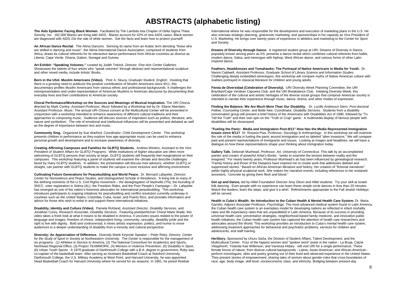### **ABSTRACTS (alphabetic listing)**

**The Aids Epidemic Facing Black Women.** Facilitated by The Lambda Iota Chapter of Delta Sigma Theta Sorority, Inc. 162,000 Blacks are living with AIDS. Blacks account for 42% of new AIDS cases. Black women are diagnosed with AIDS 23x the rate of white women. Get the facts and learn how to protect yourself!

**An African Dance Recital**. The Alima Dancers. Deriving its name from an Arabic term denoting "those who are skilled in dancing and music", the Alima International Dance Association, comprised of students from Africa, draws its cultural referents for its interactive dance performance from African countries as diverse as Liberia, Cape Verde, Ghana, Gabon, Senegal and Guinea.

**Art Exhibit: "Speaking Volumes."** curated by Judith Tolnick, *Director, Fine Arts Center Galleries.*  Showcases the talents of four artists who "speak volumes" through abstract and representational sculpture and other mixed media, include Artists' Books..

**Born in the USA: Muslim Americans (Video).** Piotr A. Skuza, *Graduate Student, English.* Insisting that there is a growing need to publicize the positive contributions of Muslim Americans since 9/11, this documentary profiles Muslim Americans from various ethnic and professional backgrounds. It challenges the misrepresentation and under-representation of American Muslims in American discourse by documenting their everyday lives and their contributions to American society.

**Choral Performance/Workshop on the Sources and Meanings of Musical Inspiration.** The URI Chorus directed by Mark Conley, *Assistant Professor, Music* followed by a Workshop led by Dr. Eliane Aberdam, *Assistant Professor, Music.* The annual URI Chorus concert at the Multicultural Center will be presented in conjunction with a workshop intended to enhance awareness of different cultural traditions and their approaches to composing music. Audience will discuss sources of inspiration such as politics, literature, arts, nature and symbolism. The role of emotional and intellectual influences will be presented and debated as well as the degree of importance between text and music.

**Community Sing.** Organized by Sue Warford, *Coordinator, Child Development Center*. This workshop presents children in performance as they explore how age-appropriate music can be used to enhance personal growth and development and to increase awareness of diversity.

**Creating Affirming Campuses and Families for GLBTQ Students.** Andrew Winters, *Assistant to the Vice President of Student Affairs for GLBTQ Programs.* While institutions of higher education are often more welcoming of GLBTQ persons than society at large, GLBTQ students still frequently feel marginalized on their campuses. This workshop featuring a panel of students will examine the climate and describe challenges faced by many GLBTQ students. In addition, the presentation will discuss how advisors, whether GLBTQ or straight, can partner with GLBTQ students to make the campus a more inclusive and affirming environment.

**Cultivating Future Generations for Peacebuilding and World Peace.** Dr. Bernard Lafayette, *Director, Center for Nonviolence and Peace Studies, and Distinguished Scholar in Residence.* A living link to many of the defining moments of the U.S. Civil Rights movement – the desegregation of Nashville (TN), the founding of SNCC, voter registration in Selma (AL), the Freedom Rides, and the Poor People's Campaign – Dr. Lafayette has emerged as one of the nation's foremost advocates for international peacebuilding. This workshop introduces participants to ongoing initiatives for peacebuilding and conflict resolution currently underway in countries such as the United States, Colombia, Cuba, Israel, and Puerto Rico, and provides information and advice for those who wish to enlist in and support these international initiatives.

**Disability, Identity and Culture (Video).** Pamela Rohland, *Assistant Director, Disability Services,* and Jonathan Corey, *Research Associate, Disability Services*. Featuring poet/performer Cheryl Marie Wade, this video takes a fresh look at what it means to be disabled in America. It uncovers issues related to the power of language and images, freedom of choice, independent living, community, sexuality, disability pride and the right to live with dignity. Bold and controversial, it mixes artistic expression, politics, and humor to move audiences to a deeper understanding of disability from a minority and cultural perspective.

**Diversity: An Appreciation of Difference.** Diversity Week Keynote Speaker – Peter Roby, *Director, Center for the Study of Sport in Society at Northeastern University*. The Center is responsible for the management of six programs: (1) Athletes in Service to America, (2) The National Consortium for Academics and Sports, Northeast Regional Office, (3) Project TEAMWORK, (4) Mentors in Violence Prevention, (5) Disability in Sport, (6) Urban Youth Sports. A 1979 graduate of Darthmouth College with a B.A. degree in government, Roby was co-captain of the basketball team. After serving as Assistant Basketball Coach at Stanford University, Darthmouth College, the U.S. Military Academy at West Point, and Harvard University, he was appointed Head Basketball Coach for Harvard University where he served for six seasons. In 1991, he joined Reebok

International where he was responsible for the development and execution of marketing plans in the U.S. He also oversaw strategic planning, grassroots marketing, and sponsorships in his capacity as Vice President of U.S. Marketing. He brings over twenty years of experience in athletics and marketing to the Center for Sport and Society.

**Dreams of Diversity through Dance.** A registered student group at URI, Dreams of Diversity in Dance, popularly known among peers as D3, presents a dance recital which combines cultural referents from ballet, modern dance, Salsa, and merengue with hiphop, West African dance, and various forms of other Latininspired dance.

**Feathers, Headdresses and Tomahawks: The Portrayal of Native Americans in Media for Youth.** Dr. Naomi Caldwell, *Assistant Professor, Graduate School of Library Science and Information Studies.*  Challenging deeply embedded stereotypes, this workshop will compare myths of Native American culture with realities portrayed in classical literature for children and young adults.

**Fiesta de Diversidad (Celebration of Diversity).** URI Diversity Week Planning Committee, the URI Brazilian/Cape Verdean Capoeira Club, and the URI Breakdance Club. Initiating Diversity Week, this celebration of the cultural and artistic heritages of the diverse social groups that comprise American society is intended to narrate their experience through music, dance, drama, and other modes of expression.

**Finding the Balance: We Are Much More Than Our Disability.** Dr. Lucille Andreozzi Stern, *Post-doctoral Fellow, Counseling Center,* and Bette Nee, *Coordinator, Disability Services.* Students from a disability conversation group will present a brief history of the Americans with Disabilities Act of 1990, followed by "To Tell the Truth" and their own spin on the "Truth or Crap" game. A multimedia display of famous people with disabilities will be showcased.

**"Fueling the Panic: Media and Immigration Post-9/11" How Has the Media Represented Immigration Issues since 9/11?** Dr. Rosaria Pisa, *Professor, Sociology & Anthropology.* In this workshop we will examine the role of the media in fueling the panic around immigration and so labeled "alien invasions." We will compare past and present representations of immigrants and issues. Looking at images and headlines, we will have a dialogue on how these representations shape your thinking about immigration today.

**Gallery Talk.** Deborah Muirhead, *Professor, Art, University of Connecticut.* This talk by an accomplished painter and creator of powerful Artist's Books "seeks to examine the tension between reality and the imagined." For nearly twenty years, Professor Muirhead's art has been influenced by genealogical research. "Family history and those of the Diaspora have inspired me to create work that addresses deleted and suppressed stories." Based on African-American literature and history, her creation of "fictional narratives" yields highly physical sculptural work. She makes her narrative events, including references to her enslaved ancestors, "concrete by giving them flesh and blood."

**Get up and Dance,** led by Hillel Foundation Director Amy Olson and Hillel students. Try your skill at Israeli folk dancing. Even people with no experience can learn these simple circle dances in less than 20 minutes. Watch the leaders, learn the steps, and give it a whirl. Refreshments appropriate to the Fall Jewish Holidays will be served.

**Health is Cuba's Wealth: An Introduction to the Cuban Health & Mental Health Care System.** Dr. Maria Garrido, *Adjunct Associate Professor, Psychology*. The most advanced medical system found in Latin America, the Cuban health care system is an exemplary model for developing nations as reflected in infant mortality rates and life expectancy rates that are unparalleled in Latin America. Because of its success in providing universal health care, preventative strategies, neighborhood-based family medicine, and innovative public health initiatives, the Cuban health care system has captured the attention of health care researchers and advocates around the World. This workshop provides an introduction to Cuba's mental health care system, addressing treatment approaches for behavioral and psychiatric problems, services for children and adolescents, and staff training.

**HerStory.** Sponsored by Uhuru SaSa, the Division of Student Affairs, Talent Development, and the Multicultural Center. Four of the hippest women and "spoken word" poets in the nation - La Bruja, Catzie Vilayphonh, Yolanda Kae Wilkinson, and Vanessa Hidary - will visit URI for a single performance. These female forces of nature, from diverse cultural backgrounds - Latina, Asian-American, and African-American perform monologues, skits and poetry growing out of their lived and observed experience in the United States. They present stories of empowerment, sharing tales of women about gender roles that cross boundaries of race, age, body image, skill level, socioeconomic class, and ethnicity. Bridging between present-day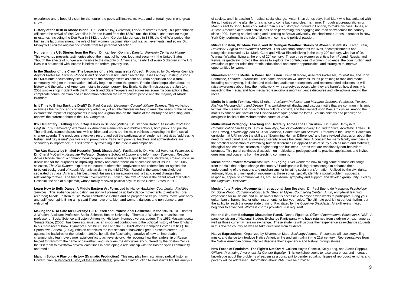experience and a hopeful vision for the future, the poets will inspire, motivate and entertain you in one great show.

**History of the Irish in Rhode Island.** Dr. Scott Molloy, *Professor, Labor Research Center*; This presentation will cover the arrival of Irish Catholics in Rhode Island from the 1820's until the 1960's, and examine major milestones, including the Dorr War in 1842; the John Gordon Murder case in 1845, the Civil War period, the Irish in the labor movement, the role of Irish women; discrimination; political achievements, and so on. Dr. Molloy will circulate original documents from his personal collection.

**Hunger in the US: Stories from the Field.** Dr. Kathleen Gorman, *Director, Feinstein Center for Hunger.*  This workshop presents testimonies about the impact of hunger; food and security in the United States. Though the effects of hunger are invisible to the majority of Americans, nearly 1 of every 5 children in the U.S. lives in a household with income is below the federal poverty line.

**In the Shadow of the Crow: The Legacies of the Narragansetts (Video).** Produced by Dr. Alexia Kosmider, *Adjunct Professor, English, Rhode Island School of Design,* and directed by Leslie Langley, *Shifting Visions,*  this 60-minute documentary film focuses on the Narragansetts as both an urban population and a rural community living on the reservation. Initially begun to inform the general Rhode Island population about the history and the culture of American Indians in contemporary New England, the film discusses the July 14th 2003 smoke shop incident with the Rhode Island State Troopers and addresses some misconceptions that complicate communication and collaboration between the Narragansett people and the majority of Rhode Islanders.

**Is it Time to Bring Back the Draft?** Dr. Paul Krajeski, *Lieutenant Colonel, Military Science.* This workshop examines the historic and contemporary adequacy of an all-volunteer military to meet the needs of the nation; explores the impact of engagements in Iraq and Afghanistan on the status of the military and recruiting; and reviews the current debate in the U.S. Congress.

**It's Elementary: Talking about Gay Issues in School (Video).** Dr. Stephen Barber, *Associate Professor, English.* "It's Elementary" examines six American elementary and middle schools, both public and private. The brilliantly framed discussions with children and teens are the main vehicles advancing the film's social change agenda. The producers effectively record and edit the participation of students in activities "addressing lesbian and gay issues" positively and pro-actively. Talks with parents, teachers and administrators are secondary in importance, but still powerfully revealing in their focus and emphasis.

*The Kite Runner* **by Khaled Hosseini (Book Discussion).** Facilitated by Dr. Michael Havener, *Professor,* & Dr. Cheryl McCarthy, *Associate Professor, Graduate School of Library and Information Sciences*. *Reading Across Rhode Island*, a common book program, annually selects a specific text for statewide, cross-curriculum discussion for the purposes of improving literacy and comprehension of complex social issues. The 2005 selection, *The Kite Runner*, explores the nature of friendship, forgiveness and redemption set against the turbulent background of Kabul, Afghanistan during the mid-1970s. Raised in the same household but separated by class, Amir and his best friend Hassan are inseparable until a tragic event changes their relationship forever. The first Afghan novel written in English, *The Kite Runner* is the debut novel of Khaled Hosseini, the son of a diplomat, whose family received political asylum in the United States in 1980.

**Learn How to Belly Dance: A Middle Eastern Art Form.** Led by Nancy Hawksley, *Coordinator, Facilities Services.* This audience participation session will present basic belly dance movements to authentic (prerecorded) Middle Eastern music. Wear comfortable clothes and be prepared to lift your arms, move your body and uplift your spirit! Bring a hip scarf if you have one. Men and women, dancers and non-dancers, are welcome!

**Making the NBA Safe for Diversity: Bill Russell and Professional Basketball in the 1960's.** Dr. Thomas J. Whalen, Assistant Professor, Social Science, Boston University. Thomas J. Whalen is an assistance professor of Social Science at Boston University. His book, Kennedy versus Lodge: The 1952 Massachusetts Senate Race, (2000), has been acclaimed as an important contribution to the political history of New England. In his more recent book, Dynasty's End: Bill Russell and the 1968-69 World Champion Boston Celtics (The Sportstown Series), (2003), Whalen chronicles the last season of basketball great Russell's career. Set against the backdrop of the turbulent 1960s, he tells the fascinating narrative of how an improbable championship team overcame racial conflict to achieve victory. He recounts how the leadership of Russell helped to transform the game of basketball, and uncovers the difficulties encountered by the Boston Celtics, the first team to overthrow several color lines in developing a relationship with the Boston sports community and media.

**Marx in Soho: A Play on History (Dramatic Production)** This new play from acclaimed radical historian Howard Zinn (A People's History of the United States), provide an introduction to Karl Marx's life, his analysis of society, and his passion for radical social change. Actor Brian Jones plays Karl Marx who has agitated with the authorities of the afterlife for a chance to come back and clear his name. Through a bureaucratic error, Marx is sent to Soho, New York, rather than his old stomping ground in London, to make his case. Jones, an African American actor and activist, has been performing this engaging one-man show across the country since 1999. Having studied acting and directing at Brown University, the charismatic Jones, a teacher in New York City, performs in the role of Marx with comic and political passion.

**Mileva Einstein, Dr. Marie Curie, and Dr. Wangari Waathai: Stories of Women Scientists.** Karen Stein, *Professor*, *English and Women's Studies*. This workshop compares the lives, accomplishments and recognition received by Dr. Marie Curie and Mileva Einstein living in the early 20<sup>th</sup> century, with that of Dr. Wangari Waathai, living at the end of 20<sup>th</sup> century. These three women scientists from Poland, Russia, and Kenya, respectively, provide the lenses to explore the contributions of women to science, the construction and evolution of gender roles that restrict educational and career opportunities, and strategies to improve opportunities for women.

**Minorities and the Media: A Panel Discussion.** Kendall Moore, *Assistant Professor, Journalism*, and John Pantalone, *Lecturer, Journalism*. This panel discussion will address issues pertaining to race and media, including stereotyping, inclusion and exclusion, audience perceptions, and recommended solutions. It will raise awareness about how the media work, why stereotypes occur, why they are harmful, how diversity is impacting the media, and how media representations might influence discourse and interactions among the races.

**Motifs in Islamic Textiles.** Abby Lillethun, *Assistant Professor, and Margaret Ordonez, Professor, Textiles, Fashion Merchandising and Design.* This workshop will display and discuss motifs that are common in Islamic textiles, the meanings of those motifs in cultural context, and their impact upon Western culture. Among the motifs examined are Safavid and Hispano-Moresque geometric forms versus animals and people; and designs in batiks of the Mohammedan courts of Java.

**Multicultural Pedagogy: Teaching and Diversity Across the Curriculum.** Dr. Lynne Derbyshire, *Communication Studies*; Dr. Judy A. Van Wyk, *Sociology/Anthropology*; Dr. Judith Swift, *Academic Affairs*; Dr. Lisa Bowleg, *Psychology, and Dr. Julia Johnson, Communication Studies.* Reforms in the General Education curriculum at URI include the skill area "Examining Human Difference," and have revived discussion about the need for, and benefits of, addressing diversity across the curriculum. A concern for many faculty members is the practical application of examining human differences in applied fields of study such as math and statistics, biological and chemical sciences, engineering and business – areas that are traditionally non-behavioral sciences. This panel continues discussion on multicultural pedagogy and its practical application, and invites questions and concerns from the teaching community.

**Music of the Protest Movements: Group Singing.** Ever wondered how to sing some of those old songs from the 60's that helped change the country? Participants will sing protest songs to enhance their understanding of the reasons and mechanisms for initiating social transformation. Utilized by the civil rights, anti-war, labor, and immigration movements, these songs typically identify a social problem, suggest a response, appeal to common values, arouse external sympathy and support, and develop group unity. Led by the *Cognitive Dissidents.*

**Music of the Protest Movements: Instructional Jam Session.** Dr. Paul Bueno de Mesquita, *Psychology*; Dr. Steve Wood, *Communications*; & Dr. Stephen Myles, *Counseling Center.* A fun, entry-level learning experience for musicians and music lovers that is accessible to anyone who wants to participate. Bring your guitar, banjo, harmonica, or other instruments, or just your voice. The ultimate goal is not perfect rhythm, but the ability to reach the group state of mind. Facilitated by the *Cognitive Dissidents*. All skill levels invited, beginner to advanced. Words & chords provided. Fun required!

**National Student Exchange Discussion Panel.** Donna Figueroa, *Office of International Education & NSE*. A panel consisting of National Student Exchange Participants who have returned from studying on exchange as well as those currently here on exchange. These students will discuss their experience as exchange students in this diverse country as well as take questions from students.

**Native Expressions**. Organized by Silvermoon Mars, *Sociology* Alumna. Presenters will use storytelling, music, and dance to introduce Native American life and spirituality in the 21st century. Representatives from the Native American community will describe their experience and history through stories.

**New Faces of Feminism: The Fight's Not Over!** Colleen Hayes-Costello, Kelly Long, and Alexis Cappola, *Officers, Promoting Awareness for Gender Equality.* This workshop seeks to raise awareness and increase knowledge about the problems of sexism as a constraint to gender equality. Issues of reproductive rights and poverty will be addressed. Information about PAGE will be provided.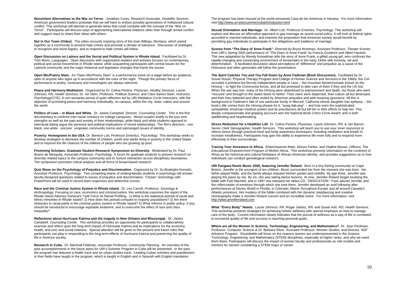**Nonviolent Alternatives to the War on Terror.** Jonathan Corey, *Research Associate, Disability Services*. American government leaders postulate that we will have to endure possibly generations of militarized cultural conflict. This workshop will attempt to generate ideas that could compete with the concept of the "War on Terror". Participants will discuss ways of approaching international relations other than through armed conflict and suggest ways to share their ideas with others.

**Not in Our Town (Video).** The video recounts inspiring story of the town Billings, Montana, which joined together as a community to prevent hate crimes and promote a climate of tolerance. Discussion of strategies to recognize and resist bigotry, and to respond to hate crimes will follow.

**Open Discussion on Latinos and the Social and Political System in Rhode Island**. Facilitated by Dr. Tom Morin, *Languages*. Open discussion with organization leaders and activists focuses on contemporary political and social movements in Rhode Island, while acquainting participants with central issues for the Latino/a community and the major historical and legislative changes that frame the issues.

**Open Mic/Poetry Slam.** An "Open Mic/Poetry Slam" is a performance event on a stage before an audience, open to anyone who signs up in accordance with the rules of the night. Though the primary focus of performance is poetry, musicians and monologists are always welcome.

**Peace and Harmony Meditation.** Organized by Dr. Celina Pereira, *Physician*, *Healthy Services*, Laurie Johnson, *RN*, *Health Services*; Dr. Art Stein, *Professor*, *Political Science*; and Clare Sartori-Stein, *Instructor*, *Psychology(CCE)*, A non-sectarian period of quiet reflection led by URI Mediation Circle instructors, with the objective of promoting peace and harmony individually, on campus, within the city, state, nation and around the world.

**Politics of Love – in Black and White.** Dr. James Campbell, *Director, Counseling Center.* This is the first documentary to confront inter-racial romance on college campuses. Mixed couples testify to the joys and strengths as well as the pain and anxiety of their relationships, while black and white students opposed to interracial dating argue the personal and political implications of mixed relationships. The film's directors - one black, one white - uncover unspoken community norms and submerged issues of identity.

**Poverty: Homegrown in the USA.** Dr. Bernice Lott*, Professor Emeritus, Psychology.* This workshop seeks to develop strategies to decrease the number of children, youth and adults living in poverty in the United States and to improve the life chances of the millions of people who are growing up poor.

**Promising Scholars: Graduate Student Research Symposium on Diversity**. Moderated by Dr. Paul Bueno de Mesquita, *Associate Professor, Psychology*. A forum for graduate students to present research on diversity related topics to the campus community and to nurture interaction across disciplinary boundaries. The symposium promotes critical analysis and all forms of broad-based research.

**Quiz Show on the Psychology of Prejudice and Discrimination.** Organized by Dr. Su Boatright-Horowitz, *Assistant Professor, Psychology.* Two competing teams of undergraduate students in psychology will answer faculty-designed questions related to issues of prejudice and discrimination. "Clicker" technology with PowerPoint will be used to record team responses and determine scores.

**Race and the Criminal Justice System in Rhode Island.** Dr. Leo Carroll, *Professor, Sociology & Anthropology.* Focusing on race, economics and criminal justice, this workshop examines the report of the Rhode Island Attorney General's Task Force on Racial Profiling. 1) What is the statistical portrait of racial and ethnic minorities in Rhode Island? 2) How does this portrait compare to majority populations? 3) Are there obstacles to racial parity in the criminal justice system in Rhode Island? 4) What reforms in public policy, if any, should be introduced to encourage equitable treatment, and to overcome the effect of race and class inequality?

**Reflections about Hurricane Katrina and the tragedy in New Orleans and Mississippi.** Dr. James Campbell, *Counseling Center*. This workshop provides an opportunity for participants to collaboratively examine and reflect upon the long term impact of Hurricane Katrina and its implications for the economy, health, and civic and social relations. Special attention will be given to the present and future roles that participants can play in responding to the long-term effects of Hurricane Katrina and preserving the quality of life in America society.

**Research in Cuba.** Dr. Marshall Feldman, *Associate Professor, Community Planning.* An overview of the past accomplishments in the future plans for URI's Summer Program in Cuba will be presented. In the past, the program has featured a health track and an urban studies track. Leading Cuban scholars and practitioners in their fields have taught in the program, which is taught in English and in Spanish with English translation.

The program has been housed at the world-renowned Casa de las Americas in Havana. For more information, visit http://www.uri.edu/summer/cuba/introduction.html

**Sexual Orientation and Marriage.** Dr. Albert Lott, *Professor Emeritus, Psychology;* This workshop will explore and discuss an affirmative approach to gay marriage as sound social policy. It will look at federal rights accorded to married individuals, and examine the proposition that American society would benefit by permitting gay individuals to participate in the obligations and traditions of marriage.

**Scenes from "The Diary of Anne Frank"**. Directed by Bryna Wortman, *Assistant Professor*, *Theater* Scenes from URI's Spring 2005 performance of "The Diary of Anne Frank" by Francis Goodrich and Albert Hackett. This new adaptation by Wendy Kesselman tells the story of Anne Frank, a gifted young girl, who confronts the rapidly-changing and constricting environment of Amsterdam in the early 1940s with honesty, wit and determination. A facilitated discussion about perceptions of "difference" and prejudice as a cause of the Holocaust and other genocides will follow the presentation.

*The Spirit Catches You and You Fall Down* **by Anne Fadiman (Book Discussion).** Facilitated by Dr. Susan Roush, Physical Therapy Program and College of Human Science and Services,In the 1960s, the CIA recruited a primitive but fiercely independent people in Laos -- the mountain farmer/nomads known as the Hmong -- to fight the Communist forces, and all but promised to take care of them if they and the US lost. When the war was lost, many of the Hmong were abandoned to imprisonment and death, but those who were "rescued" and brought to the states fared no better: Their clans were dispersed, their culture all but destroyed, and their lives battered and often ended by American prejudice and well-meaning ignorance. All this is background to Fadiman's tale of one particular family in Merced, California whose daughter has epilepsy -- the book's title comes from the Hmong phrase for it, "quag dab peg" -- and how even the sophisticated, sympathetic American medical system and its practitioners all but kill her in their efforts to help her. This deeply compassionate and gripping acccount won the National Book Critics Circle Award, and is both spellbinding and heartbreaking.

**Stress Reduction for a Healthier Life** Dr. Celina Pereira, *Physician,* Laurie Johnson, *RN*, & Jan Barron, *Senior Clerk Stenographer, Health Services.* This workshop will teach you to use your inner resources to relieve stress through practical mind and body awareness techniques, including meditation and breath to increase mindfulness. Participants may gain the ability to experience life more fully and to respond more effectively to their surroundings.

**Tracing Your Ancestors to Africa.** Elsiecheyenne Mate, Alonzo Parker*,* and Vladine Biosse, *Officers, The Educational Empowerment Program of Mother Africa.* This workshop presents information on the continent of Africa as the historical and cultural birthplace of African-American identity, and provides suggestions as to how individuals can conduct genealogical research.

**URI Pangaea Roots Music 2005, featuring Jennifer Roland.** Born in a tiny fishing community on Cape Breton, Jennifer is the youngest of ten children. Music surrounded her from the moment she was born: her father played fiddle, and the family always enjoyed kitchen parties and ceilidhs. By age three, Jennifer was playing the piano by ear. By six, she was taking dance lessons. At nine, Jennifer Roland began studying the fiddle with Kyle MacNeil, and in 1997 she released her debut CD, "DEDICATION." Fans adored Jennifer and the rollercoaster of emotions through which she took them. Jennifer developed an avid following after performances at Disney World in Florida, in Colorado, Maine, throughout Europe and all around Canada's Atlantic provinces. Her mastery of the fiddle combined with her dynamic stepdancing and creative choreography make a Jennifer Roland concert and an incredible event. For more information, visit http://www.jenniferroland.com

**What "Every Body" Needs.** Laurie Johnson, *RN*, Roger Jadosz, *RN*, and Susan Ash, *RD, Health Services.*  This workshop presents strategies for achieving holistic wellness with special emphasis on how to manage care of the body. Current information clearly indicates that the pursuit of wellness as a way of life is correlated to increased quality of life and success in reaching personal goals.

**Where are all the Women in Science, Technology, Engineering, and Mathematics?** Dr. Joan Peckham, *Professor, Computer Science & Dr.* Barbara Silver*, Assistant Professor, Women Studies, and Director, NSF Advance Program.* Roundtable will focus on the reasons women are underrepresented in the Science, Technology, Engineering, and Mathematics (STEM) disciplines, especially at higher ranks, and why we need them there. Participants will discuss the impact of women faculty and professionals as role models and mentors for women considering a STEM major or career.